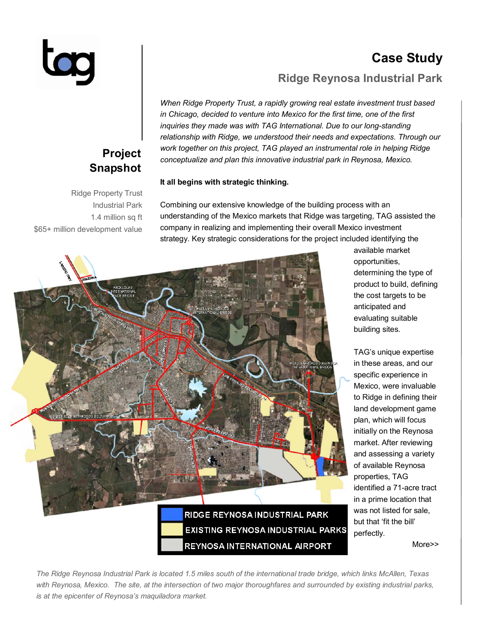# **Case Study**

### **Ridge Reynosa Industrial Park**

*When Ridge Property Trust, a rapidly growing real estate investment trust based in Chicago, decided to venture into Mexico for the first time, one of the first inquiries they made was with TAG International. Due to our long-standing relationship with Ridge, we understood their needs and expectations. Through our work together on this project, TAG played an instrumental role in helping Ridge conceptualize and plan this innovative industrial park in Reynosa, Mexico.* 

### **It all begins with strategic thinking.**

Ridge Property Trust Industrial Park 1.4 million sq ft \$65+ million development value

**Project Snapshot** 

> Combining our extensive knowledge of the building process with an understanding of the Mexico markets that Ridge was targeting, TAG assisted the company in realizing and implementing their overall Mexico investment strategy. Key strategic considerations for the project included identifying the



available market opportunities, determining the type of product to build, defining the cost targets to be anticipated and evaluating suitable building sites.

TAGís unique expertise in these areas, and our specific experience in Mexico, were invaluable to Ridge in defining their land development game plan, which will focus initially on the Reynosa market. After reviewing and assessing a variety of available Reynosa properties, TAG identified a 71-acre tract in a prime location that was not listed for sale, but that 'fit the bill' perfectly.

More>>

*The Ridge Reynosa Industrial Park is located 1.5 miles south of the international trade bridge, which links McAllen, Texas*  with Reynosa, Mexico. The site, at the intersection of two major thoroughfares and surrounded by existing industrial parks, *is at the epicenter of Reynosaís maquiladora market.*